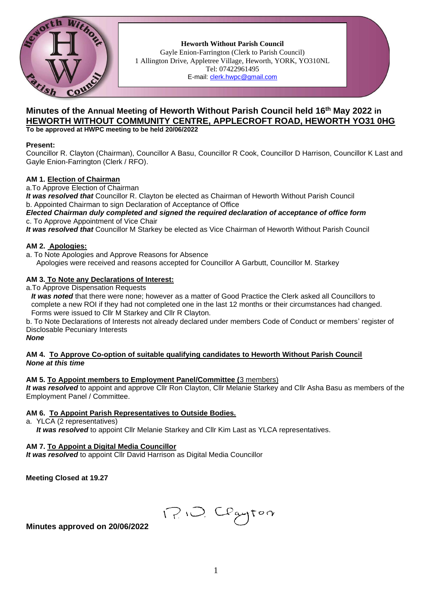

**Heworth Without Parish Council** Gayle Enion-Farrington (Clerk to Parish Council) 1 Allington Drive, Appletree Village, Heworth, YORK, YO310NL Tel: 07422961495 E-mail: [clerk.hwpc@gmail.com](file:///C:/ronal/AppData/ronal/AppData/MINUTES/clerk.hwpc@gmail.com)

## **Minutes of the Annual Meeting of Heworth Without Parish Council held 16 th May 2022 in HEWORTH WITHOUT COMMUNITY CENTRE, APPLECROFT ROAD, HEWORTH YO31 0HG To be approved at HWPC meeting to be held 20/06/2022**

#### **Present:**

Councillor R. Clayton (Chairman), Councillor A Basu, Councillor R Cook, Councillor D Harrison, Councillor K Last and Gayle Enion-Farrington (Clerk / RFO).

#### **AM 1. Election of Chairman**

a.To Approve Election of Chairman

*It was resolved that* Councillor R. Clayton be elected as Chairman of Heworth Without Parish Council b. Appointed Chairman to sign Declaration of Acceptance of Office

#### *Elected Chairman duly completed and signed the required declaration of acceptance of office form*  c. To Approve Appointment of Vice Chair

*It was resolved that* Councillor M Starkey be elected as Vice Chairman of Heworth Without Parish Council

#### **AM 2. Apologies:**

a. To Note Apologies and Approve Reasons for Absence

Apologies were received and reasons accepted for Councillor A Garbutt, Councillor M. Starkey

## **AM 3. To Note any Declarations of Interest:**

a.To Approve Dispensation Requests

*It was noted* that there were none; however as a matter of Good Practice the Clerk asked all Councillors to complete a new ROI if they had not completed one in the last 12 months or their circumstances had changed. Forms were issued to Cllr M Starkey and Cllr R Clayton.

b. To Note Declarations of Interests not already declared under members Code of Conduct or members' register of Disclosable Pecuniary Interests

*None*

#### **AM 4. To Approve Co-option of suitable qualifying candidates to Heworth Without Parish Council** *None at this time*

#### **AM 5. To Appoint members to Employment Panel/Committee (**3 members)

*It was resolved* to appoint and approve Cllr Ron Clayton, Cllr Melanie Starkey and Cllr Asha Basu as members of the Employment Panel / Committee.

#### **AM 6. To Appoint Parish Representatives to Outside Bodies.**

a. YLCA (2 representatives)

*It was resolved* to appoint Cllr Melanie Starkey and Cllr Kim Last as YLCA representatives.

#### **AM 7. To Appoint a Digital Media Councillor**

*It was resolved* to appoint Cllr David Harrison as Digital Media Councillor

**Meeting Closed at 19.27**

1?10, Cegyton

## **Minutes approved on 20/06/2022**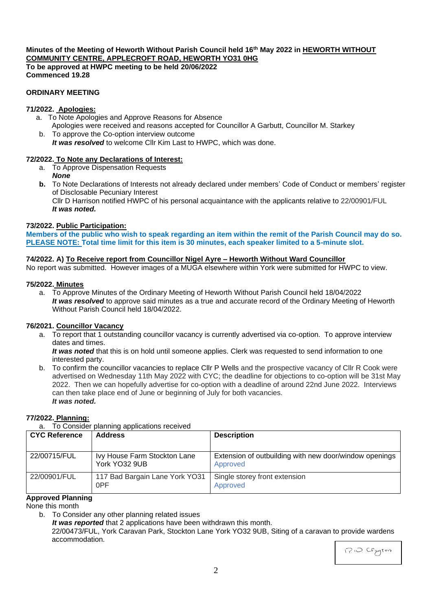## **Minutes of the Meeting of Heworth Without Parish Council held 16th May 2022 in HEWORTH WITHOUT COMMUNITY CENTRE, APPLECROFT ROAD, HEWORTH YO31 0HG To be approved at HWPC meeting to be held 20/06/2022**

**Commenced 19.28**

# **ORDINARY MEETING**

# **71/2022. Apologies:**

- a. To Note Apologies and Approve Reasons for Absence Apologies were received and reasons accepted for Councillor A Garbutt, Councillor M. Starkey
- b. To approve the Co-option interview outcome *It was resolved* to welcome Cllr Kim Last to HWPC, which was done.

## **72/2022. To Note any Declarations of Interest:**

- a. To Approve Dispensation Requests
	- *None*
- **b.** To Note Declarations of Interests not already declared under members' Code of Conduct or members' register of Disclosable Pecuniary Interest

Cllr D Harrison notified HWPC of his personal acquaintance with the applicants relative to 22/00901/FUL *It was noted.*

## **73/2022. Public Participation:**

**Members of the public who wish to speak regarding an item within the remit of the Parish Council may do so. PLEASE NOTE: Total time limit for this item is 30 minutes, each speaker limited to a 5-minute slot.**

## **74/2022. A) To Receive report from Councillor Nigel Ayre – Heworth Without Ward Councillor**

No report was submitted. However images of a MUGA elsewhere within York were submitted for HWPC to view.

## **75/2022. Minutes**

a. To Approve Minutes of the Ordinary Meeting of Heworth Without Parish Council held 18/04/2022 *It was resolved* to approve said minutes as a true and accurate record of the Ordinary Meeting of Heworth Without Parish Council held 18/04/2022.

## **76/2021. Councillor Vacancy**

a. To report that 1 outstanding councillor vacancy is currently advertised via co-option. To approve interview dates and times.

*It was noted* that this is on hold until someone applies. Clerk was requested to send information to one interested party.

b. To confirm the councillor vacancies to replace Cllr P Wells and the prospective vacancy of Cllr R Cook were advertised on Wednesday 11th May 2022 with CYC; the deadline for objections to co-option will be 31st May 2022. Then we can hopefully advertise for co-option with a deadline of around 22nd June 2022. Interviews can then take place end of June or beginning of July for both vacancies. *It was noted.*

#### **77/2022. Planning:**

a. To Consider planning applications received

| <b>CYC Reference</b> | <b>Address</b>                                | <b>Description</b>                                                 |
|----------------------|-----------------------------------------------|--------------------------------------------------------------------|
| 22/00715/FUL         | Ivy House Farm Stockton Lane<br>York YO32 9UB | Extension of outbuilding with new door/window openings<br>Approved |
| 22/00901/FUL         | 117 Bad Bargain Lane York YO31<br>0PF         | Single storey front extension<br>Approved                          |

## **Approved Planning**

None this month

b. To Consider any other planning related issues *It was reported* that 2 applications have been withdrawn this month. 22/00473/FUL, York Caravan Park, Stockton Lane York YO32 9UB, Siting of a caravan to provide wardens accommodation.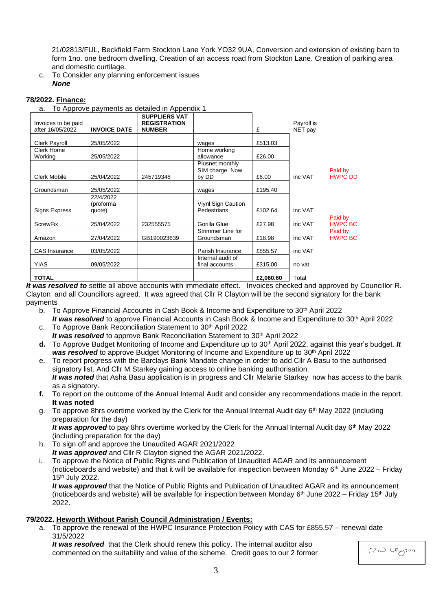21/02813/FUL, Beckfield Farm Stockton Lane York YO32 9UA, Conversion and extension of existing barn to form 1no. one bedroom dwelling. Creation of an access road from Stockton Lane. Creation of parking area and domestic curtilage.

c. To Consider any planning enforcement issues *None*

#### **78/2022. Finance:**

a. To Approve payments as detailed in Appendix 1

| Invoices to be paid<br>after 16/05/2022 | <b>INVOICE DATE</b>              | <b>SUPPLIERS VAT</b><br><b>REGISTRATION</b><br><b>NUMBER</b> |                                            | £         | Payroll is<br>NET pay |                           |
|-----------------------------------------|----------------------------------|--------------------------------------------------------------|--------------------------------------------|-----------|-----------------------|---------------------------|
| Clerk Payroll                           | 25/05/2022                       |                                                              | wages                                      | £513.03   |                       |                           |
| Clerk Home<br>Working                   | 25/05/2022                       |                                                              | Home working<br>allowance                  | £26.00    |                       |                           |
| <b>Clerk Mobile</b>                     | 25/04/2022                       | 245719348                                                    | Plusnet monthly<br>SIM charge Now<br>by DD | £6.00     | inc VAT               | Paid by<br><b>HWPC DD</b> |
| Groundsman                              | 25/05/2022                       |                                                              | wages                                      | £195.40   |                       |                           |
| Signs Express                           | 22/4/2022<br>(proforma<br>quote) |                                                              | Viynl Sign Caution<br>Pedestrians          | £102.64   | inc VAT               |                           |
| <b>ScrewFix</b>                         | 25/04/2022                       | 232555575                                                    | Gorilla Glue                               | £27.98    | inc VAT               | Paid by<br><b>HWPC BC</b> |
| Amazon                                  | 27/04/2022                       | GB190023639                                                  | Strimmer Line for<br>Groundsman            | £18.98    | inc VAT               | Paid by<br><b>HWPC BC</b> |
| <b>CAS</b> Insurance                    | 03/05/2022                       |                                                              | Parish Insurance                           | £855.57   | inc VAT               |                           |
| <b>YIAS</b>                             | 09/05/2022                       |                                                              | Internal audit of<br>final accounts        | £315.00   | no vat                |                           |
| <b>TOTAL</b>                            |                                  |                                                              |                                            | £2,060.60 | Total                 |                           |

*It was resolved to* settle all above accounts with immediate effect. Invoices checked and approved by Councillor R. Clayton and all Councillors agreed. It was agreed that Cllr R Clayton will be the second signatory for the bank payments

- b. To Approve Financial Accounts in Cash Book & Income and Expenditure to  $30<sup>th</sup>$  April 2022 *It was resolved* to approve Financial Accounts in Cash Book & Income and Expenditure to 30<sup>th</sup> April 2022
- c. To Approve Bank Reconciliation Statement to 30<sup>th</sup> April 2022 *It was resolved* to approve Bank Reconciliation Statement to 30<sup>th</sup> April 2022
- **d.** To Approve Budget Monitoring of Income and Expenditure up to 30th April 2022, against this year's budget. *It*  **was resolved** to approve Budget Monitoring of Income and Expenditure up to 30<sup>th</sup> April 2022
- e. To report progress with the Barclays Bank Mandate change in order to add Cllr A Basu to the authorised signatory list. And Cllr M Starkey gaining access to online banking authorisation. *It was noted* that Asha Basu application is in progress and Cllr Melanie Starkey now has access to the bank as a signatory.
- **f.** To report on the outcome of the Annual Internal Audit and consider any recommendations made in the report. **It was noted**
- g. To approve 8hrs overtime worked by the Clerk for the Annual Internal Audit day 6<sup>th</sup> May 2022 (including preparation for the day)

It was approved to pay 8hrs overtime worked by the Clerk for the Annual Internal Audit day 6<sup>th</sup> May 2022 (including preparation for the day)

- h. To sign off and approve the Unaudited AGAR 2021/2022
- *It was approved* and Cllr R Clayton signed the AGAR 2021/2022.
- i. To approve the Notice of Public Rights and Publication of Unaudited AGAR and its announcement (noticeboards and website) and that it will be available for inspection between Monday  $6<sup>th</sup>$  June 2022 – Friday 15th July 2022.

*It was approved* that the Notice of Public Rights and Publication of Unaudited AGAR and its announcement (noticeboards and website) will be available for inspection between Monday  $6<sup>th</sup>$  June 2022 – Friday 15<sup>th</sup> July 2022.

#### **79/2022. Heworth Without Parish Council Administration / Events:**

a. To approve the renewal of the HWPC Insurance Protection Policy with CAS for £855.57 – renewal date 31/5/2022

*It was resolved* that the Clerk should renew this policy. The internal auditor also commented on the suitability and value of the scheme. Credit goes to our 2 former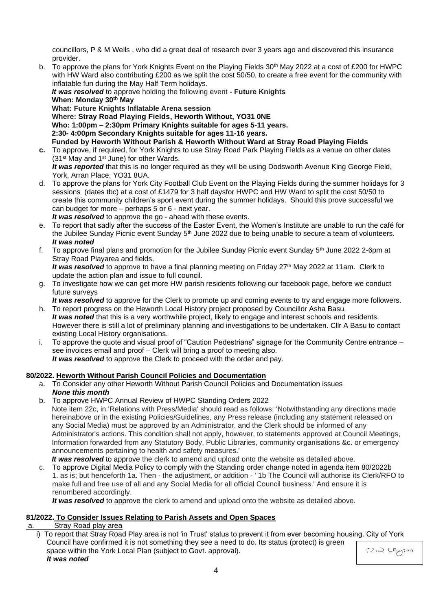councillors, P & M Wells , who did a great deal of research over 3 years ago and discovered this insurance provider.

b. To approve the plans for York Knights Event on the Playing Fields 30<sup>th</sup> May 2022 at a cost of £200 for HWPC with HW Ward also contributing £200 as we split the cost 50/50, to create a free event for the community with inflatable fun during the May Half Term holidays.

*It was resolved* to approve holding the following event **- Future Knights When: Monday 30th May**

**What: Future Knights Inflatable Arena session Where: Stray Road Playing Fields, Heworth Without, YO31 0NE Who: 1:00pm – 2:30pm Primary Knights suitable for ages 5-11 years. 2:30- 4:00pm Secondary Knights suitable for ages 11-16 years. Funded by Heworth Without Parish & Heworth Without Ward at Stray Road Playing Fields**

- **c.** To approve, if required, for York Knights to use Stray Road Park Playing Fields as a venue on other dates (31st May and 1st June) for other Wards. *It was reported* that this is no longer required as they will be using Dodsworth Avenue King George Field, York, Arran Place, YO31 8UA.
- d. To approve the plans for York City Football Club Event on the Playing Fields during the summer holidays for 3 sessions (dates tbc) at a cost of £1479 for 3 half daysfor HWPC and HW Ward to split the cost 50/50 to create this community children's sport event during the summer holidays. Should this prove successful we can budget for more – perhaps 5 or 6 - next year.

*It was resolved* to approve the go - ahead with these events.

- e. To report that sadly after the success of the Easter Event, the Women's Institute are unable to run the café for the Jubilee Sunday Picnic event Sunday 5<sup>th</sup> June 2022 due to being unable to secure a team of volunteers. *It was noted*
- f. To approve final plans and promotion for the Jubilee Sunday Picnic event Sunday 5<sup>th</sup> June 2022 2-6pm at Stray Road Playarea and fields. *It was resolved* to approve to have a final planning meeting on Friday 27<sup>th</sup> May 2022 at 11am. Clerk to update the action plan and issue to full council.
- g. To investigate how we can get more HW parish residents following our facebook page, before we conduct future surveys

*It was resolved* to approve for the Clerk to promote up and coming events to try and engage more followers.

- h. To report progress on the Heworth Local History project proposed by Councillor Asha Basu. *It was noted* that this is a very worthwhile project, likely to engage and interest schools and residents. However there is still a lot of preliminary planning and investigations to be undertaken. Cllr A Basu to contact existing Local History organisations.
- i. To approve the quote and visual proof of "Caution Pedestrians" signage for the Community Centre entrance see invoices email and proof – Clerk will bring a proof to meeting also. *It was resolved* to approve the Clerk to proceed with the order and pay.

# **80/2022. Heworth Without Parish Council Policies and Documentation**

- a. To Consider any other Heworth Without Parish Council Policies and Documentation issues *None this month*
- b. To approve HWPC Annual Review of HWPC Standing Orders 2022 Note item 22c, in 'Relations with Press/Media' should read as follows: 'Notwithstanding any directions made hereinabove or in the existing Policies/Guidelines, any Press release (including any statement released on any Social Media) must be approved by an Administrator, and the Clerk should be informed of any Administrator's actions. This condition shall not apply, however, to statements approved at Council Meetings, Information forwarded from any Statutory Body, Public Libraries, community organisations &c. or emergency announcements pertaining to health and safety measures.' **It was resolved** to approve the clerk to amend and upload onto the website as detailed above.
- c. To approve Digital Media Policy to comply with the Standing order change noted in agenda item 80/2022b 1. as is; but henceforth 1a. Then - the adjustment, or addition - ' 1b The Council will authorise its Clerk/RFO to make full and free use of all and any Social Media for all official Council business.' And ensure it is renumbered accordingly.

It was resolved to approve the clerk to amend and upload onto the website as detailed above.

## **81/2022. To Consider Issues Relating to Parish Assets and Open Spaces**

- a. Stray Road play area
	- i) To report that Stray Road Play area is not 'in Trust' status to prevent it from ever becoming housing. City of York Council have confirmed it is not something they see a need to do. Its status (protect) is green 12:0 Cegyton space within the York Local Plan (subject to Govt. approval). *It was noted*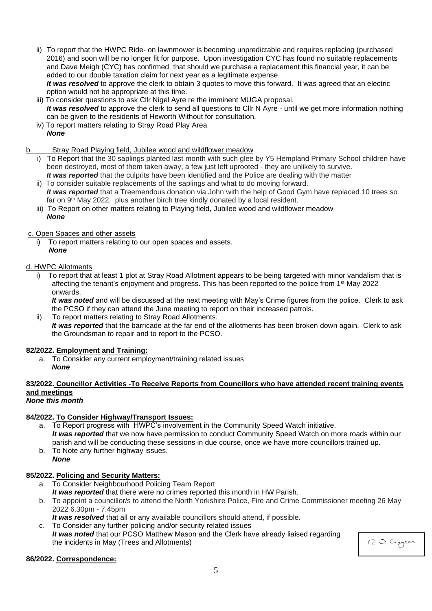- ii) To report that the HWPC Ride- on lawnmower is becoming unpredictable and requires replacing (purchased 2016) and soon will be no longer fit for purpose. Upon investigation CYC has found no suitable replacements and Dave Meigh (CYC) has confirmed that should we purchase a replacement this financial year, it can be added to our double taxation claim for next year as a legitimate expense *It was resolved* to approve the clerk to obtain 3 quotes to move this forward. It was agreed that an electric
- option would not be appropriate at this time. iii) To consider questions to ask Cllr Nigel Ayre re the imminent MUGA proposal. It was resolved to approve the clerk to send all questions to Cllr N Ayre - until we get more information nothing can be given to the residents of Heworth Without for consultation.
- iv) To report matters relating to Stray Road Play Area
	- *None*
- b. Stray Road Playing field, Jubilee wood and wildflower meadow
	- To Report that the 30 saplings planted last month with such glee by Y5 Hempland Primary School children have been destroyed, most of them taken away, a few just left uprooted - they are unlikely to survive. *It was reported* that the culprits have been identified and the Police are dealing with the matter
	- ii) To consider suitable replacements of the saplings and what to do moving forward. *It was reported* that a Treemendous donation via John with the help of Good Gym have replaced 10 trees so far on 9<sup>th</sup> May 2022, plus another birch tree kindly donated by a local resident.
	- iii) To Report on other matters relating to Playing field, Jubilee wood and wildflower meadow *None*

#### c. Open Spaces and other assets

i) To report matters relating to our open spaces and assets. *None*

## d. HWPC Allotments

i) To report that at least 1 plot at Stray Road Allotment appears to be being targeted with minor vandalism that is affecting the tenant's enjoyment and progress. This has been reported to the police from 1st May 2022 onwards.

*It was noted* and will be discussed at the next meeting with May's Crime figures from the police. Clerk to ask the PCSO if they can attend the June meeting to report on their increased patrols.

ii) To report matters relating to Stray Road Allotments. *It was reported* that the barricade at the far end of the allotments has been broken down again. Clerk to ask the Groundsman to repair and to report to the PCSO.

#### **82/2022. Employment and Training:**

- a. To Consider any current employment/training related issues
	- *None*

# **83/2022. Councillor Activities -To Receive Reports from Councillors who have attended recent training events and meetings**

# *None this month*

#### **84/2022. To Consider Highway/Transport Issues:**

- a. To Report progress with HWPC's involvement in the Community Speed Watch initiative. *It was reported* that we now have permission to conduct Community Speed Watch on more roads within our parish and will be conducting these sessions in due course, once we have more councillors trained up.
- b. To Note any further highway issues. *None*

## **85/2022. Policing and Security Matters:**

- a. To Consider Neighbourhood Policing Team Report *It was reported* that there were no crimes reported this month in HW Parish.
- b. To appoint a councillor/s to attend the North Yorkshire Police, Fire and Crime Commissioner meeting 26 May 2022 6.30pm - 7.45pm

*It was resolved* that all or any available councillors should attend, if possible.

c. To Consider any further policing and/or security related issues *It was noted* that our PCSO Matthew Mason and the Clerk have already liaised regarding the incidents in May (Trees and Allotments)

1?10. Clayton

#### **86/2022. Correspondence:**